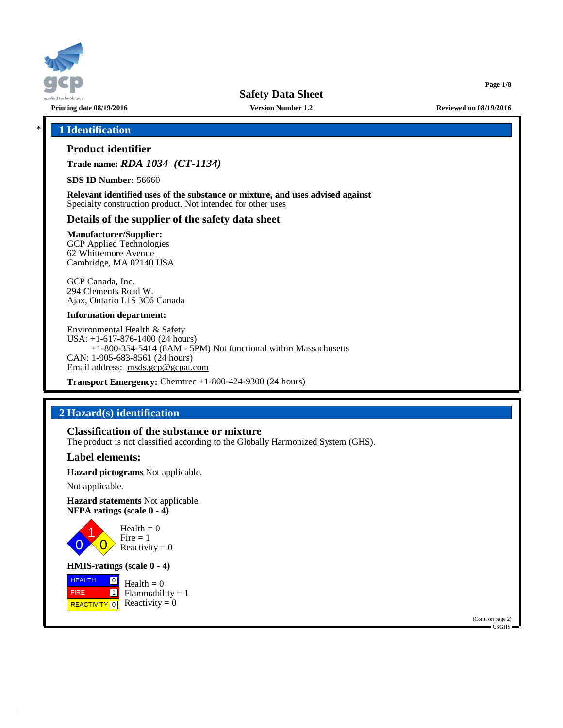

# \* **1 Identification**

# **Product identifier**

**Trade name:** *RDA 1034 (CT-1134)*

**SDS ID Number:** 56660

**Relevant identified uses of the substance or mixture, and uses advised against** Specialty construction product. Not intended for other uses

# **Details of the supplier of the safety data sheet**

**Manufacturer/Supplier:**

GCP Applied Technologies 62 Whittemore Avenue Cambridge, MA 02140 USA

GCP Canada, Inc. 294 Clements Road W. Ajax, Ontario L1S 3C6 Canada

#### **Information department:**

Environmental Health & Safety USA: +1-617-876-1400 (24 hours) +1-800-354-5414 (8AM - 5PM) Not functional within Massachusetts CAN: 1-905-683-8561 (24 hours) Email address: [msds.gcp@gcpat.com](mailto:msds.gcp@gcpat.com)

**Transport Emergency:** Chemtrec +1-800-424-9300 (24 hours)

# **2 Hazard(s) identification**

## **Classification of the substance or mixture**

The product is not classified according to the Globally Harmonized System (GHS).

## **Label elements:**

**Hazard pictograms** Not applicable.

Not applicable.

**Hazard statements** Not applicable. **NFPA ratings (scale 0 - 4)**



**HMIS-ratings (scale 0 - 4)**

**HEALTH**  FIRE REACTIVITY  $\boxed{0}$  Reactivity = 0  $\boxed{0}$  $\boxed{1}$ Health  $= 0$  $Flammability = 1$ 

> (Cont. on page 2) USGHS

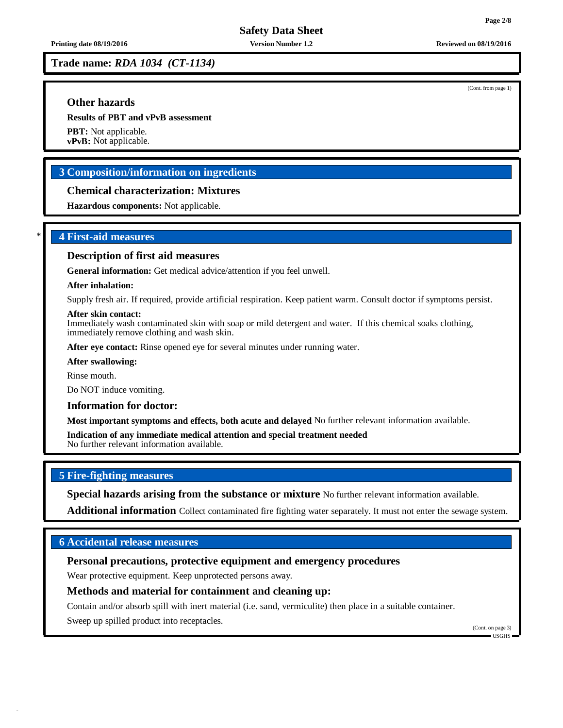(Cont. from page 1)

**Trade name:** *RDA 1034 (CT-1134)*

# **Other hazards**

**Results of PBT and vPvB assessment**

**PBT:** Not applicable. **vPvB:** Not applicable.

# **3 Composition/information on ingredients**

## **Chemical characterization: Mixtures**

**Hazardous components:** Not applicable.

# \* **4 First-aid measures**

## **Description of first aid measures**

**General information:** Get medical advice/attention if you feel unwell.

#### **After inhalation:**

Supply fresh air. If required, provide artificial respiration. Keep patient warm. Consult doctor if symptoms persist.

#### **After skin contact:**

Immediately wash contaminated skin with soap or mild detergent and water. If this chemical soaks clothing, immediately remove clothing and wash skin.

**After eye contact:** Rinse opened eye for several minutes under running water.

**After swallowing:**

Rinse mouth.

Do NOT induce vomiting.

#### **Information for doctor:**

**Most important symptoms and effects, both acute and delayed** No further relevant information available.

**Indication of any immediate medical attention and special treatment needed** No further relevant information available.

# **5 Fire-fighting measures**

**Special hazards arising from the substance or mixture** No further relevant information available.

**Additional information** Collect contaminated fire fighting water separately. It must not enter the sewage system.

# **6 Accidental release measures**

# **Personal precautions, protective equipment and emergency procedures**

Wear protective equipment. Keep unprotected persons away.

## **Methods and material for containment and cleaning up:**

Contain and/or absorb spill with inert material (i.e. sand, vermiculite) then place in a suitable container.

Sweep up spilled product into receptacles.

(Cont. on page 3) USGHS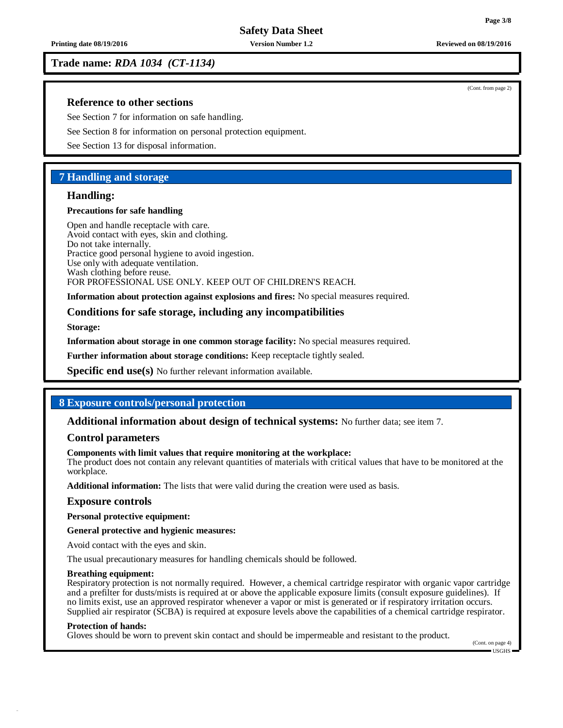**Safety Data Sheet**

**Trade name:** *RDA 1034 (CT-1134)*

## **Reference to other sections**

See Section 7 for information on safe handling.

See Section 8 for information on personal protection equipment.

See Section 13 for disposal information.

## **7 Handling and storage**

## **Handling:**

## **Precautions for safe handling**

Open and handle receptacle with care. Avoid contact with eyes, skin and clothing. Do not take internally. Practice good personal hygiene to avoid ingestion. Use only with adequate ventilation. Wash clothing before reuse. FOR PROFESSIONAL USE ONLY. KEEP OUT OF CHILDREN'S REACH.

**Information about protection against explosions and fires:** No special measures required.

## **Conditions for safe storage, including any incompatibilities**

**Storage:**

**Information about storage in one common storage facility:** No special measures required.

**Further information about storage conditions:** Keep receptacle tightly sealed.

**Specific end use(s)** No further relevant information available.

## **8 Exposure controls/personal protection**

## **Additional information about design of technical systems:** No further data; see item 7.

## **Control parameters**

#### **Components with limit values that require monitoring at the workplace:**

The product does not contain any relevant quantities of materials with critical values that have to be monitored at the workplace.

**Additional information:** The lists that were valid during the creation were used as basis.

## **Exposure controls**

**Personal protective equipment:**

**General protective and hygienic measures:**

Avoid contact with the eyes and skin.

The usual precautionary measures for handling chemicals should be followed.

#### **Breathing equipment:**

Respiratory protection is not normally required. However, a chemical cartridge respirator with organic vapor cartridge and a prefilter for dusts/mists is required at or above the applicable exposure limits (consult exposure guidelines). If no limits exist, use an approved respirator whenever a vapor or mist is generated or if respiratory irritation occurs. Supplied air respirator (SCBA) is required at exposure levels above the capabilities of a chemical cartridge respirator.

#### **Protection of hands:**

Gloves should be worn to prevent skin contact and should be impermeable and resistant to the product.

(Cont. on page 4) USGHS

(Cont. from page 2)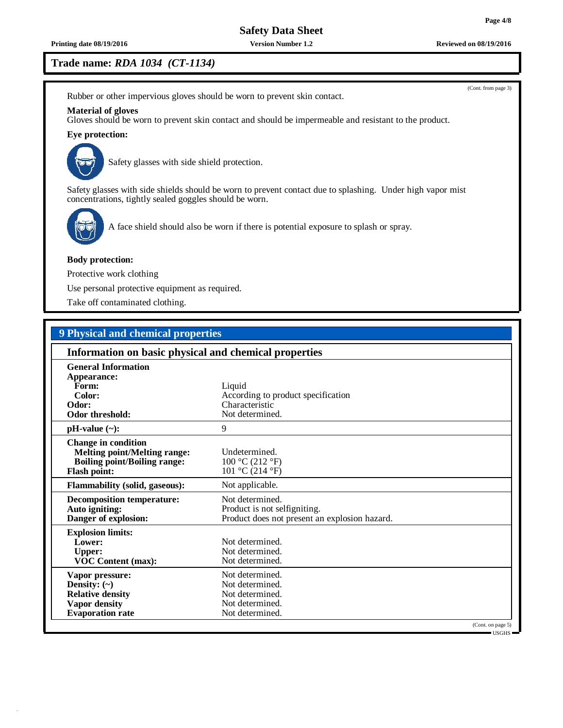**Printing date 08/19/2016 Version Number 1.2 Reviewed on 08/19/2016**

# **Trade name:** *RDA 1034 (CT-1134)*

Rubber or other impervious gloves should be worn to prevent skin contact.

### **Material of gloves**

Gloves should be worn to prevent skin contact and should be impermeable and resistant to the product.

## **Eye protection:**



Safety glasses with side shield protection.

Safety glasses with side shields should be worn to prevent contact due to splashing. Under high vapor mist concentrations, tightly sealed goggles should be worn.



A face shield should also be worn if there is potential exposure to splash or spray.

#### **Body protection:**

Protective work clothing

Use personal protective equipment as required.

Take off contaminated clothing.

# **9 Physical and chemical properties**

| Information on basic physical and chemical properties                                                                           |                                                                                                  |                                    |
|---------------------------------------------------------------------------------------------------------------------------------|--------------------------------------------------------------------------------------------------|------------------------------------|
| <b>General Information</b><br>Appearance:<br>Form:<br>Color:<br>Odor:<br>Odor threshold:                                        | Liquid<br>According to product specification<br>Characteristic<br>Not determined.                |                                    |
| $pH-value (\sim):$                                                                                                              | 9                                                                                                |                                    |
| <b>Change in condition</b><br><b>Melting point/Melting range:</b><br><b>Boiling point/Boiling range:</b><br><b>Flash point:</b> | Undetermined.<br>100 °C (212 °F)<br>101 °C (214 °F)                                              |                                    |
| <b>Flammability (solid, gaseous):</b>                                                                                           | Not applicable.                                                                                  |                                    |
| <b>Decomposition temperature:</b><br>Auto igniting:<br>Danger of explosion:                                                     | Not determined.<br>Product is not selfigniting.<br>Product does not present an explosion hazard. |                                    |
| <b>Explosion limits:</b><br>Lower:<br><b>Upper:</b><br><b>VOC Content (max):</b>                                                | Not determined.<br>Not determined.<br>Not determined.                                            |                                    |
| Vapor pressure:<br>Density: $(\sim)$<br><b>Relative density</b><br>Vapor density<br><b>Evaporation rate</b>                     | Not determined.<br>Not determined.<br>Not determined.<br>Not determined.<br>Not determined.      |                                    |
|                                                                                                                                 |                                                                                                  | (Cont. on page 5)<br>$-$ USGHS $-$ |

(Cont. from page 3)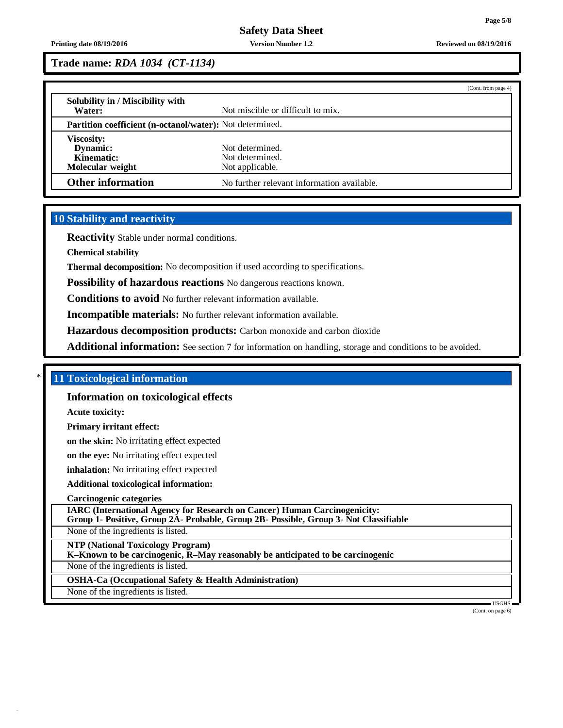### **Printing date 08/19/2016 Version Number 1.2 Reviewed on 08/19/2016**

**Trade name:** *RDA 1034 (CT-1134)*

|                                                                 |                                            | (Cont. from page 4) |
|-----------------------------------------------------------------|--------------------------------------------|---------------------|
| Solubility in / Miscibility with                                |                                            |                     |
| Water:                                                          | Not miscible or difficult to mix.          |                     |
| <b>Partition coefficient (n-octanol/water):</b> Not determined. |                                            |                     |
| <b>Viscosity:</b>                                               |                                            |                     |
| Dynamic:                                                        | Not determined.                            |                     |
| Kinematic:                                                      | Not determined.                            |                     |
| Molecular weight                                                | Not applicable.                            |                     |
| <b>Other information</b>                                        | No further relevant information available. |                     |

# **10 Stability and reactivity**

**Reactivity** Stable under normal conditions.

**Chemical stability**

**Thermal decomposition:** No decomposition if used according to specifications.

**Possibility of hazardous reactions** No dangerous reactions known.

**Conditions to avoid** No further relevant information available.

**Incompatible materials:** No further relevant information available.

**Hazardous decomposition products:** Carbon monoxide and carbon dioxide

**Additional information:** See section 7 for information on handling, storage and conditions to be avoided.

# \* **11 Toxicological information**

**Information on toxicological effects**

**Acute toxicity:**

**Primary irritant effect:**

**on the skin:** No irritating effect expected

**on the eye:** No irritating effect expected

**inhalation:** No irritating effect expected

**Additional toxicological information:**

**Carcinogenic categories**

**IARC (International Agency for Research on Cancer) Human Carcinogenicity:**

**Group 1- Positive, Group 2A- Probable, Group 2B- Possible, Group 3- Not Classifiable**

None of the ingredients is listed.

**NTP (National Toxicology Program)**

**K–Known to be carcinogenic, R–May reasonably be anticipated to be carcinogenic**

None of the ingredients is listed.

**OSHA-Ca (Occupational Safety & Health Administration)**

None of the ingredients is listed.

USGHS

(Cont. on page 6)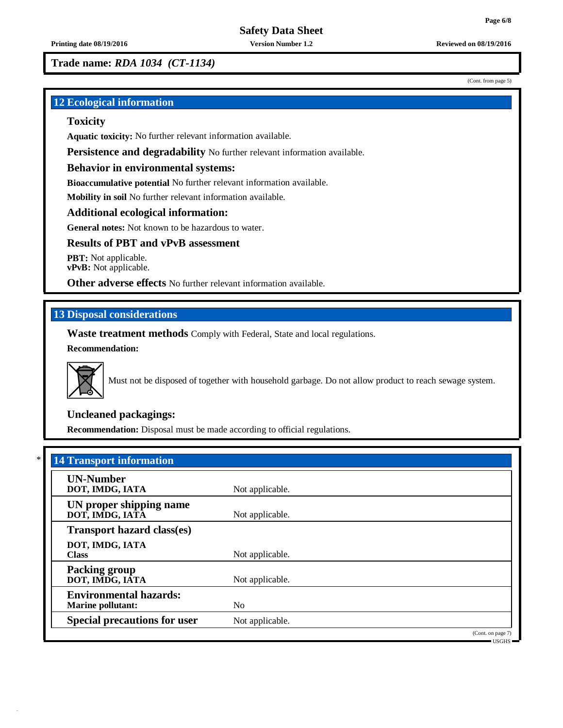**Trade name:** *RDA 1034 (CT-1134)*

# **12 Ecological information**

## **Toxicity**

**Aquatic toxicity:** No further relevant information available.

**Persistence and degradability** No further relevant information available.

## **Behavior in environmental systems:**

**Bioaccumulative potential** No further relevant information available.

**Mobility in soil** No further relevant information available.

## **Additional ecological information:**

**General notes:** Not known to be hazardous to water.

# **Results of PBT and vPvB assessment**

**PBT:** Not applicable. **vPvB:** Not applicable.

**Other adverse effects** No further relevant information available.

# **13 Disposal considerations**

**Waste treatment methods** Comply with Federal, State and local regulations.

**Recommendation:**



Must not be disposed of together with household garbage. Do not allow product to reach sewage system.

# **Uncleaned packagings:**

**Recommendation:** Disposal must be made according to official regulations.

| <b>14 Transport information</b>                           |                 |                                     |
|-----------------------------------------------------------|-----------------|-------------------------------------|
| <b>UN-Number</b><br>DOT, IMDG, IATA                       | Not applicable. |                                     |
| UN proper shipping name<br>DOT, IMDG, IATA                | Not applicable. |                                     |
| <b>Transport hazard class(es)</b>                         |                 |                                     |
| DOT, IMDG, IATA<br><b>Class</b>                           | Not applicable. |                                     |
| <b>Packing group</b><br>DOT, IMDG, IATA                   | Not applicable. |                                     |
| <b>Environmental hazards:</b><br><b>Marine pollutant:</b> | N <sub>0</sub>  |                                     |
| <b>Special precautions for user</b>                       | Not applicable. |                                     |
|                                                           |                 | (Cont. on page 7)<br>$-$ IISGHS $-$ |

**Page 6/8**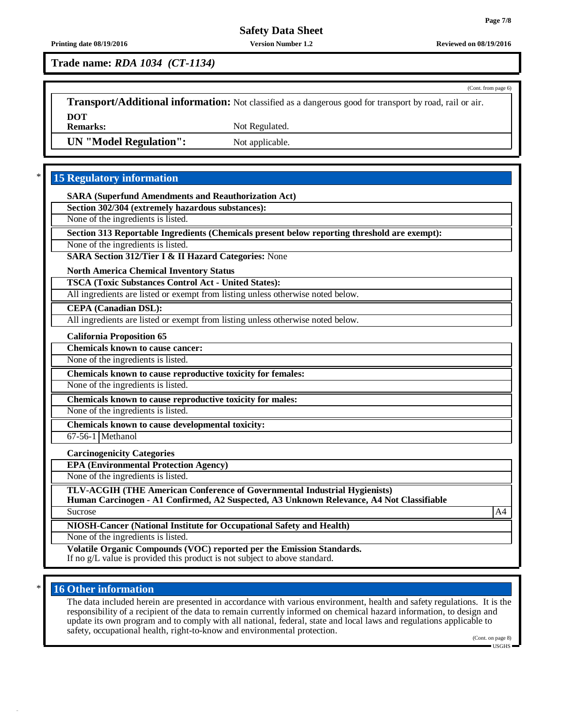## **Page 7/8**

(Cont. from page 6)

# **Safety Data Sheet**

**Printing date 08/19/2016 Version Number 1.2 Reviewed on 08/19/2016**

**Trade name:** *RDA 1034 (CT-1134)*

**Transport/Additional information:** Not classified as a dangerous good for transport by road, rail or air. **DOT**

Not Regulated.

**UN "Model Regulation":** Not applicable.

# \* **15 Regulatory information**

**SARA (Superfund Amendments and Reauthorization Act)**

**Section 302/304 (extremely hazardous substances):**

None of the ingredients is listed.

**Section 313 Reportable Ingredients (Chemicals present below reporting threshold are exempt):**

None of the ingredients is listed.

**SARA Section 312/Tier I & II Hazard Categories:** None

**North America Chemical Inventory Status**

**TSCA (Toxic Substances Control Act - United States):**

All ingredients are listed or exempt from listing unless otherwise noted below.

**CEPA (Canadian DSL):**

All ingredients are listed or exempt from listing unless otherwise noted below.

**California Proposition 65**

**Chemicals known to cause cancer:**

None of the ingredients is listed.

**Chemicals known to cause reproductive toxicity for females:**

None of the ingredients is listed.

**Chemicals known to cause reproductive toxicity for males:**

None of the ingredients is listed.

**Chemicals known to cause developmental toxicity:**

67-56-1 Methanol

**Carcinogenicity Categories**

**EPA (Environmental Protection Agency)**

None of the ingredients is listed.

**TLV-ACGIH (THE American Conference of Governmental Industrial Hygienists)**

**Human Carcinogen - A1 Confirmed, A2 Suspected, A3 Unknown Relevance, A4 Not Classifiable** Sucrose A4

**NIOSH-Cancer (National Institute for Occupational Safety and Health)**

None of the ingredients is listed.

**Volatile Organic Compounds (VOC) reported per the Emission Standards.** If no g/L value is provided this product is not subject to above standard.

## \* **16 Other information**

The data included herein are presented in accordance with various environment, health and safety regulations. It is the responsibility of a recipient of the data to remain currently informed on chemical hazard information, to design and update its own program and to comply with all national, federal, state and local laws and regulations applicable to safety, occupational health, right-to-know and environmental protection.

(Cont. on page 8) USGHS